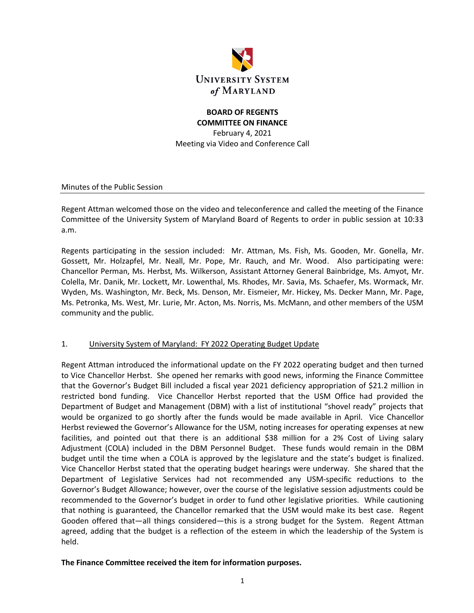

# **BOARD OF REGENTS COMMITTEE ON FINANCE**

February 4, 2021 Meeting via Video and Conference Call

Minutes of the Public Session

Regent Attman welcomed those on the video and teleconference and called the meeting of the Finance Committee of the University System of Maryland Board of Regents to order in public session at 10:33 a.m.

Regents participating in the session included: Mr. Attman, Ms. Fish, Ms. Gooden, Mr. Gonella, Mr. Gossett, Mr. Holzapfel, Mr. Neall, Mr. Pope, Mr. Rauch, and Mr. Wood. Also participating were: Chancellor Perman, Ms. Herbst, Ms. Wilkerson, Assistant Attorney General Bainbridge, Ms. Amyot, Mr. Colella, Mr. Danik, Mr. Lockett, Mr. Lowenthal, Ms. Rhodes, Mr. Savia, Ms. Schaefer, Ms. Wormack, Mr. Wyden, Ms. Washington, Mr. Beck, Ms. Denson, Mr. Eismeier, Mr. Hickey, Ms. Decker Mann, Mr. Page, Ms. Petronka, Ms. West, Mr. Lurie, Mr. Acton, Ms. Norris, Ms. McMann, and other members of the USM community and the public.

### 1. University System of Maryland: FY 2022 Operating Budget Update

Regent Attman introduced the informational update on the FY 2022 operating budget and then turned to Vice Chancellor Herbst. She opened her remarks with good news, informing the Finance Committee that the Governor's Budget Bill included a fiscal year 2021 deficiency appropriation of \$21.2 million in restricted bond funding. Vice Chancellor Herbst reported that the USM Office had provided the Department of Budget and Management (DBM) with a list of institutional "shovel ready" projects that would be organized to go shortly after the funds would be made available in April. Vice Chancellor Herbst reviewed the Governor's Allowance for the USM, noting increases for operating expenses at new facilities, and pointed out that there is an additional \$38 million for a 2% Cost of Living salary Adjustment (COLA) included in the DBM Personnel Budget. These funds would remain in the DBM budget until the time when a COLA is approved by the legislature and the state's budget is finalized. Vice Chancellor Herbst stated that the operating budget hearings were underway. She shared that the Department of Legislative Services had not recommended any USM-specific reductions to the Governor's Budget Allowance; however, over the course of the legislative session adjustments could be recommended to the Governor's budget in order to fund other legislative priorities. While cautioning that nothing is guaranteed, the Chancellor remarked that the USM would make its best case. Regent Gooden offered that—all things considered—this is a strong budget for the System. Regent Attman agreed, adding that the budget is a reflection of the esteem in which the leadership of the System is held.

### **The Finance Committee received the item for information purposes.**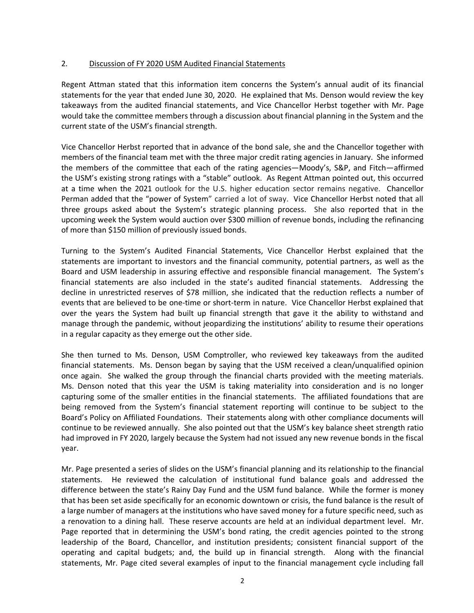### 2. Discussion of FY 2020 USM Audited Financial Statements

Regent Attman stated that this information item concerns the System's annual audit of its financial statements for the year that ended June 30, 2020. He explained that Ms. Denson would review the key takeaways from the audited financial statements, and Vice Chancellor Herbst together with Mr. Page would take the committee members through a discussion about financial planning in the System and the current state of the USM's financial strength.

Vice Chancellor Herbst reported that in advance of the bond sale, she and the Chancellor together with members of the financial team met with the three major credit rating agencies in January. She informed the members of the committee that each of the rating agencies—Moody's, S&P, and Fitch—affirmed the USM's existing strong ratings with a "stable" outlook. As Regent Attman pointed out, this occurred at a time when the 2021 outlook for the U.S. higher education sector remains negative. Chancellor Perman added that the "power of System" carried a lot of sway. Vice Chancellor Herbst noted that all three groups asked about the System's strategic planning process. She also reported that in the upcoming week the System would auction over \$300 million of revenue bonds, including the refinancing of more than \$150 million of previously issued bonds.

Turning to the System's Audited Financial Statements, Vice Chancellor Herbst explained that the statements are important to investors and the financial community, potential partners, as well as the Board and USM leadership in assuring effective and responsible financial management. The System's financial statements are also included in the state's audited financial statements. Addressing the decline in unrestricted reserves of \$78 million, she indicated that the reduction reflects a number of events that are believed to be one-time or short-term in nature. Vice Chancellor Herbst explained that over the years the System had built up financial strength that gave it the ability to withstand and manage through the pandemic, without jeopardizing the institutions' ability to resume their operations in a regular capacity as they emerge out the other side.

She then turned to Ms. Denson, USM Comptroller, who reviewed key takeaways from the audited financial statements. Ms. Denson began by saying that the USM received a clean/unqualified opinion once again. She walked the group through the financial charts provided with the meeting materials. Ms. Denson noted that this year the USM is taking materiality into consideration and is no longer capturing some of the smaller entities in the financial statements. The affiliated foundations that are being removed from the System's financial statement reporting will continue to be subject to the Board's Policy on Affiliated Foundations. Their statements along with other compliance documents will continue to be reviewed annually. She also pointed out that the USM's key balance sheet strength ratio had improved in FY 2020, largely because the System had not issued any new revenue bonds in the fiscal year.

Mr. Page presented a series of slides on the USM's financial planning and its relationship to the financial statements. He reviewed the calculation of institutional fund balance goals and addressed the difference between the state's Rainy Day Fund and the USM fund balance. While the former is money that has been set aside specifically for an economic downtown or crisis, the fund balance is the result of a large number of managers at the institutions who have saved money for a future specific need, such as a renovation to a dining hall. These reserve accounts are held at an individual department level. Mr. Page reported that in determining the USM's bond rating, the credit agencies pointed to the strong leadership of the Board, Chancellor, and institution presidents; consistent financial support of the operating and capital budgets; and, the build up in financial strength. Along with the financial statements, Mr. Page cited several examples of input to the financial management cycle including fall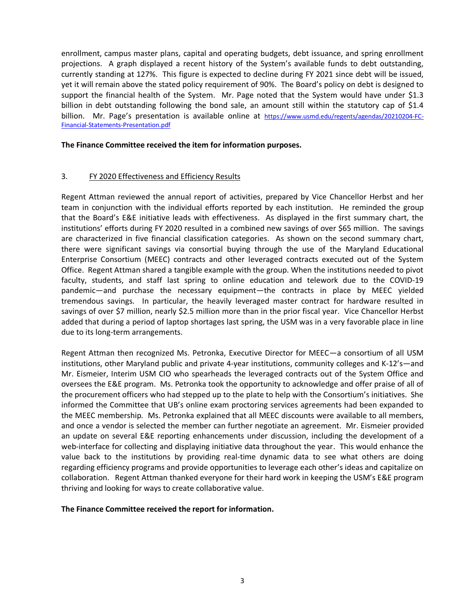enrollment, campus master plans, capital and operating budgets, debt issuance, and spring enrollment projections. A graph displayed a recent history of the System's available funds to debt outstanding, currently standing at 127%. This figure is expected to decline during FY 2021 since debt will be issued, yet it will remain above the stated policy requirement of 90%. The Board's policy on debt is designed to support the financial health of the System. Mr. Page noted that the System would have under \$1.3 billion in debt outstanding following the bond sale, an amount still within the statutory cap of \$1.4 billion. Mr. Page's presentation is available online at [https://www.usmd.edu/regents/agendas/20210204-FC-](https://www.usmd.edu/regents/agendas/20210204-FC-Financial-Statements-Presentation.pdf)[Financial-Statements-Presentation.pdf](https://www.usmd.edu/regents/agendas/20210204-FC-Financial-Statements-Presentation.pdf)

#### **The Finance Committee received the item for information purposes.**

## 3. FY 2020 Effectiveness and Efficiency Results

Regent Attman reviewed the annual report of activities, prepared by Vice Chancellor Herbst and her team in conjunction with the individual efforts reported by each institution. He reminded the group that the Board's E&E initiative leads with effectiveness. As displayed in the first summary chart, the institutions' efforts during FY 2020 resulted in a combined new savings of over \$65 million. The savings are characterized in five financial classification categories. As shown on the second summary chart, there were significant savings via consortial buying through the use of the Maryland Educational Enterprise Consortium (MEEC) contracts and other leveraged contracts executed out of the System Office. Regent Attman shared a tangible example with the group. When the institutions needed to pivot faculty, students, and staff last spring to online education and telework due to the COVID-19 pandemic—and purchase the necessary equipment—the contracts in place by MEEC yielded tremendous savings. In particular, the heavily leveraged master contract for hardware resulted in savings of over \$7 million, nearly \$2.5 million more than in the prior fiscal year. Vice Chancellor Herbst added that during a period of laptop shortages last spring, the USM was in a very favorable place in line due to its long-term arrangements.

Regent Attman then recognized Ms. Petronka, Executive Director for MEEC—a consortium of all USM institutions, other Maryland public and private 4-year institutions, community colleges and K-12's—and Mr. Eismeier, Interim USM CIO who spearheads the leveraged contracts out of the System Office and oversees the E&E program. Ms. Petronka took the opportunity to acknowledge and offer praise of all of the procurement officers who had stepped up to the plate to help with the Consortium's initiatives. She informed the Committee that UB's online exam proctoring services agreements had been expanded to the MEEC membership. Ms. Petronka explained that all MEEC discounts were available to all members, and once a vendor is selected the member can further negotiate an agreement. Mr. Eismeier provided an update on several E&E reporting enhancements under discussion, including the development of a web-interface for collecting and displaying initiative data throughout the year. This would enhance the value back to the institutions by providing real-time dynamic data to see what others are doing regarding efficiency programs and provide opportunities to leverage each other's ideas and capitalize on collaboration. Regent Attman thanked everyone for their hard work in keeping the USM's E&E program thriving and looking for ways to create collaborative value.

### **The Finance Committee received the report for information.**